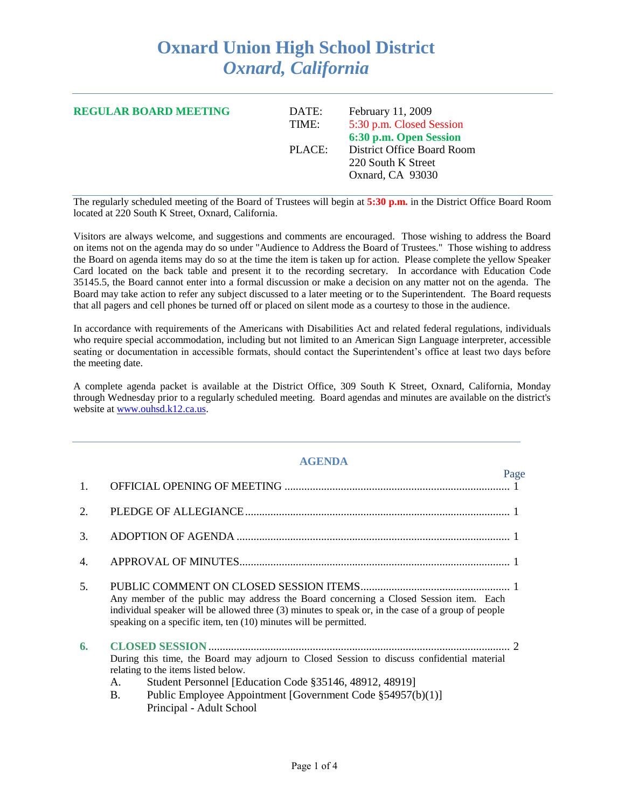## **Oxnard Union High School District** *Oxnard, California*

| <b>REGULAR BOARD MEETING</b> | DATE:<br>TIME: | February 11, 2009<br>5:30 p.m. Closed Session<br>6:30 p.m. Open Session |
|------------------------------|----------------|-------------------------------------------------------------------------|
|                              | PLACE:         | District Office Board Room<br>220 South K Street<br>Oxnard, CA 93030    |

The regularly scheduled meeting of the Board of Trustees will begin at **5:30 p.m.** in the District Office Board Room located at 220 South K Street, Oxnard, California.

Visitors are always welcome, and suggestions and comments are encouraged. Those wishing to address the Board on items not on the agenda may do so under "Audience to Address the Board of Trustees." Those wishing to address the Board on agenda items may do so at the time the item is taken up for action. Please complete the yellow Speaker Card located on the back table and present it to the recording secretary. In accordance with Education Code 35145.5, the Board cannot enter into a formal discussion or make a decision on any matter not on the agenda. The Board may take action to refer any subject discussed to a later meeting or to the Superintendent. The Board requests that all pagers and cell phones be turned off or placed on silent mode as a courtesy to those in the audience.

In accordance with requirements of the Americans with Disabilities Act and related federal regulations, individuals who require special accommodation, including but not limited to an American Sign Language interpreter, accessible seating or documentation in accessible formats, should contact the Superintendent's office at least two days before the meeting date.

A complete agenda packet is available at the District Office, 309 South K Street, Oxnard, California, Monday through Wednesday prior to a regularly scheduled meeting. Board agendas and minutes are available on the district's website at [www.ouhsd.k12.ca.us.](http://www.ouhsd.k12.ca.us/)

## **AGENDA**

|    | Page                                                                                                                                                                                                                                                                                               |
|----|----------------------------------------------------------------------------------------------------------------------------------------------------------------------------------------------------------------------------------------------------------------------------------------------------|
| 1. |                                                                                                                                                                                                                                                                                                    |
| 2. |                                                                                                                                                                                                                                                                                                    |
| 3. |                                                                                                                                                                                                                                                                                                    |
| 4. |                                                                                                                                                                                                                                                                                                    |
| 5. | Any member of the public may address the Board concerning a Closed Session item. Each<br>individual speaker will be allowed three (3) minutes to speak or, in the case of a group of people<br>speaking on a specific item, ten (10) minutes will be permitted.                                    |
| 6. | During this time, the Board may adjourn to Closed Session to discuss confidential material<br>relating to the items listed below.<br>Student Personnel [Education Code §35146, 48912, 48919]<br>A.<br>Public Employee Appointment [Government Code §54957(b)(1)]<br>В.<br>Principal - Adult School |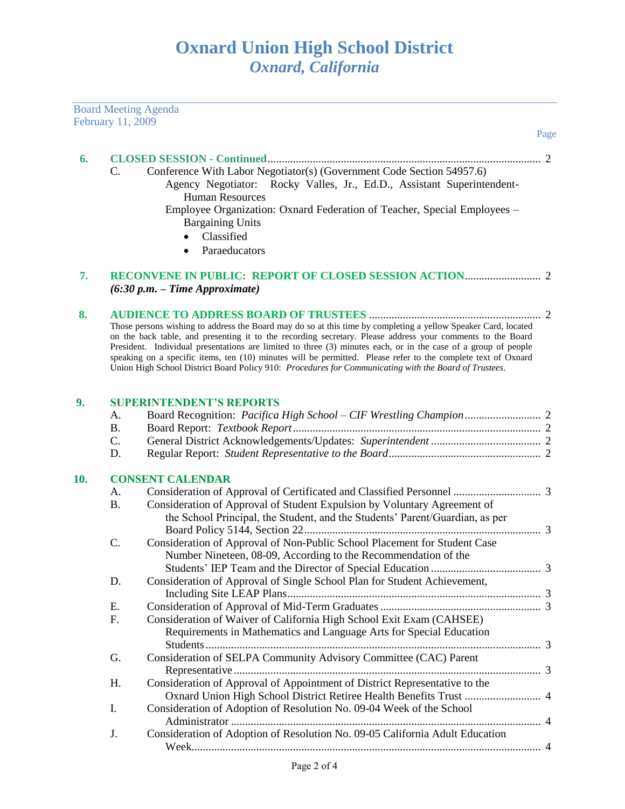|     | February 11, 2009 | <b>Board Meeting Agenda</b>                                                                                                                                                                                                     | Page |
|-----|-------------------|---------------------------------------------------------------------------------------------------------------------------------------------------------------------------------------------------------------------------------|------|
|     |                   |                                                                                                                                                                                                                                 |      |
| 6.  |                   |                                                                                                                                                                                                                                 |      |
|     | C.                | Conference With Labor Negotiator(s) (Government Code Section 54957.6)                                                                                                                                                           |      |
|     |                   | Agency Negotiator: Rocky Valles, Jr., Ed.D., Assistant Superintendent-                                                                                                                                                          |      |
|     |                   | <b>Human Resources</b>                                                                                                                                                                                                          |      |
|     |                   | Employee Organization: Oxnard Federation of Teacher, Special Employees -                                                                                                                                                        |      |
|     |                   | <b>Bargaining Units</b>                                                                                                                                                                                                         |      |
|     |                   | Classified<br>$\bullet$                                                                                                                                                                                                         |      |
|     |                   | Paraeducators<br>$\bullet$                                                                                                                                                                                                      |      |
| 7.  |                   | $(6:30 p.m. - Time Approximate)$                                                                                                                                                                                                |      |
| 8.  |                   |                                                                                                                                                                                                                                 |      |
|     |                   | Those persons wishing to address the Board may do so at this time by completing a yellow Speaker Card, located                                                                                                                  |      |
|     |                   | on the back table, and presenting it to the recording secretary. Please address your comments to the Board                                                                                                                      |      |
|     |                   | President. Individual presentations are limited to three (3) minutes each, or in the case of a group of people<br>speaking on a specific items, ten (10) minutes will be permitted. Please refer to the complete text of Oxnard |      |
|     |                   | Union High School District Board Policy 910: Procedures for Communicating with the Board of Trustees.                                                                                                                           |      |
|     |                   |                                                                                                                                                                                                                                 |      |
| 9.  |                   | <b>SUPERINTENDENT'S REPORTS</b>                                                                                                                                                                                                 |      |
|     | A.                |                                                                                                                                                                                                                                 |      |
|     | <b>B.</b>         |                                                                                                                                                                                                                                 |      |
|     | C.                |                                                                                                                                                                                                                                 |      |
|     | D.                |                                                                                                                                                                                                                                 |      |
| 10. |                   | <b>CONSENT CALENDAR</b>                                                                                                                                                                                                         |      |
|     | А.                |                                                                                                                                                                                                                                 |      |
|     | <b>B.</b>         | Consideration of Approval of Student Expulsion by Voluntary Agreement of                                                                                                                                                        |      |
|     |                   | the School Principal, the Student, and the Students' Parent/Guardian, as per                                                                                                                                                    |      |
|     |                   |                                                                                                                                                                                                                                 |      |
|     | C.                | Consideration of Approval of Non-Public School Placement for Student Case                                                                                                                                                       |      |
|     |                   | Number Nineteen, 08-09, According to the Recommendation of the                                                                                                                                                                  |      |
|     |                   |                                                                                                                                                                                                                                 |      |
|     | D.                | Consideration of Approval of Single School Plan for Student Achievement,                                                                                                                                                        |      |
|     |                   |                                                                                                                                                                                                                                 |      |
|     | E.                |                                                                                                                                                                                                                                 |      |
|     | F.                | Consideration of Waiver of California High School Exit Exam (CAHSEE)                                                                                                                                                            |      |
|     |                   | Requirements in Mathematics and Language Arts for Special Education                                                                                                                                                             |      |
|     |                   |                                                                                                                                                                                                                                 |      |
|     | G.                | Consideration of SELPA Community Advisory Committee (CAC) Parent                                                                                                                                                                |      |
|     |                   |                                                                                                                                                                                                                                 |      |
|     | Н.                | Consideration of Approval of Appointment of District Representative to the                                                                                                                                                      |      |
|     |                   |                                                                                                                                                                                                                                 |      |
|     | I.                | Consideration of Adoption of Resolution No. 09-04 Week of the School                                                                                                                                                            |      |
|     |                   |                                                                                                                                                                                                                                 |      |
|     | J.                | Consideration of Adoption of Resolution No. 09-05 California Adult Education                                                                                                                                                    |      |
|     |                   |                                                                                                                                                                                                                                 |      |
|     |                   |                                                                                                                                                                                                                                 |      |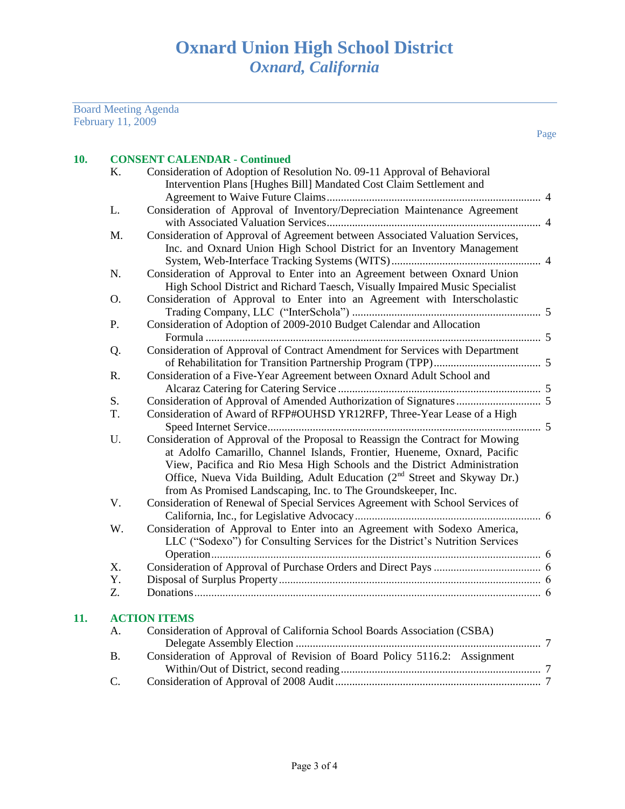Board Meeting Agenda February 11, 2009

| 10. |                | <b>CONSENT CALENDAR - Continued</b>                                                                                                             |  |
|-----|----------------|-------------------------------------------------------------------------------------------------------------------------------------------------|--|
|     | K.             | Consideration of Adoption of Resolution No. 09-11 Approval of Behavioral<br>Intervention Plans [Hughes Bill] Mandated Cost Claim Settlement and |  |
|     |                |                                                                                                                                                 |  |
|     | L.             | Consideration of Approval of Inventory/Depreciation Maintenance Agreement                                                                       |  |
|     |                |                                                                                                                                                 |  |
|     | M.             | Consideration of Approval of Agreement between Associated Valuation Services,                                                                   |  |
|     |                | Inc. and Oxnard Union High School District for an Inventory Management                                                                          |  |
|     |                |                                                                                                                                                 |  |
|     | N.             | Consideration of Approval to Enter into an Agreement between Oxnard Union                                                                       |  |
|     |                | High School District and Richard Taesch, Visually Impaired Music Specialist                                                                     |  |
|     | O.             | Consideration of Approval to Enter into an Agreement with Interscholastic                                                                       |  |
|     |                |                                                                                                                                                 |  |
|     | P.             | Consideration of Adoption of 2009-2010 Budget Calendar and Allocation                                                                           |  |
|     |                |                                                                                                                                                 |  |
|     | Q.             | Consideration of Approval of Contract Amendment for Services with Department                                                                    |  |
|     |                |                                                                                                                                                 |  |
|     | R.             | Consideration of a Five-Year Agreement between Oxnard Adult School and                                                                          |  |
|     | S.             |                                                                                                                                                 |  |
|     | T.             | Consideration of Award of RFP#OUHSD YR12RFP, Three-Year Lease of a High                                                                         |  |
|     |                |                                                                                                                                                 |  |
|     | U.             | Consideration of Approval of the Proposal to Reassign the Contract for Mowing                                                                   |  |
|     |                | at Adolfo Camarillo, Channel Islands, Frontier, Hueneme, Oxnard, Pacific                                                                        |  |
|     |                | View, Pacifica and Rio Mesa High Schools and the District Administration                                                                        |  |
|     |                | Office, Nueva Vida Building, Adult Education (2 <sup>nd</sup> Street and Skyway Dr.)                                                            |  |
|     |                | from As Promised Landscaping, Inc. to The Groundskeeper, Inc.                                                                                   |  |
|     | V.             | Consideration of Renewal of Special Services Agreement with School Services of                                                                  |  |
|     |                |                                                                                                                                                 |  |
|     | W.             | Consideration of Approval to Enter into an Agreement with Sodexo America,                                                                       |  |
|     |                | LLC ("Sodexo") for Consulting Services for the District's Nutrition Services                                                                    |  |
|     |                |                                                                                                                                                 |  |
|     | X.             |                                                                                                                                                 |  |
|     | Y.             |                                                                                                                                                 |  |
|     | Z.             |                                                                                                                                                 |  |
| 11. |                | <b>ACTION ITEMS</b>                                                                                                                             |  |
|     | А.             | Consideration of Approval of California School Boards Association (CSBA)                                                                        |  |
|     |                |                                                                                                                                                 |  |
|     | <b>B.</b>      | Consideration of Approval of Revision of Board Policy 5116.2: Assignment                                                                        |  |
|     |                |                                                                                                                                                 |  |
|     | $\mathsf{C}$ . |                                                                                                                                                 |  |